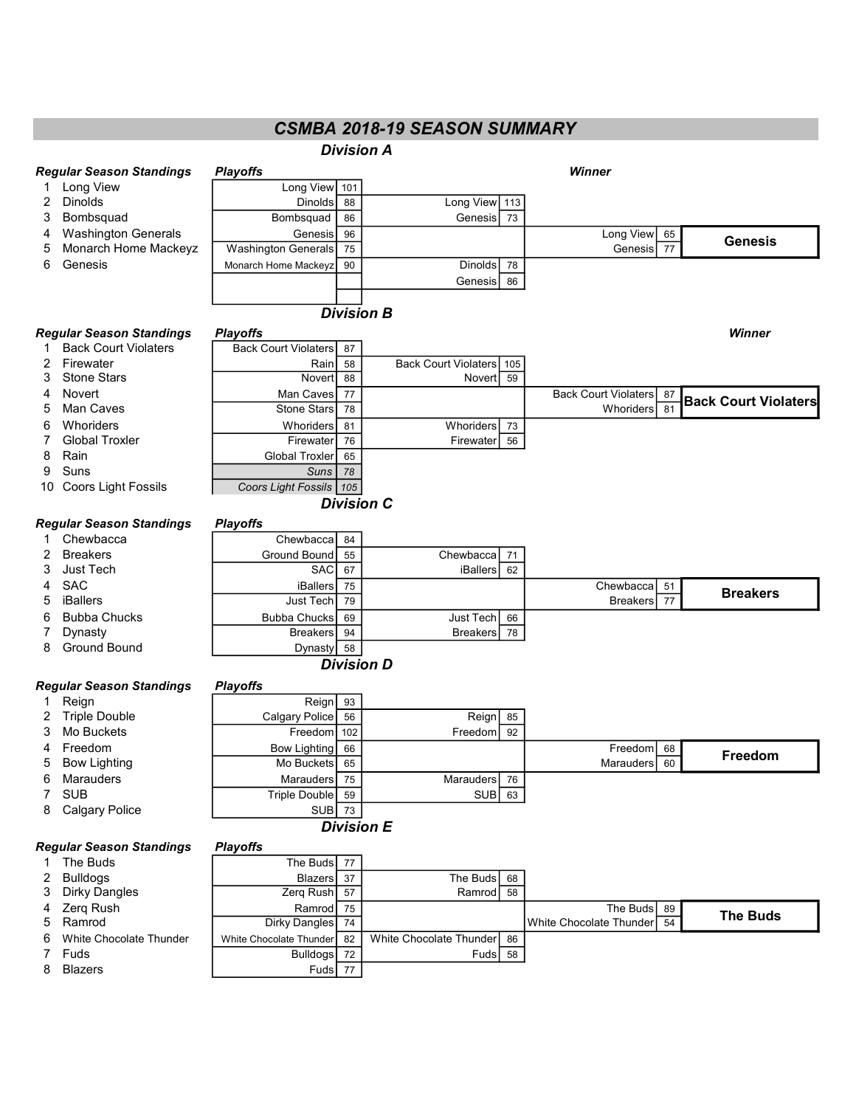# CSMBA 2018-19 SEASON SUMMARY

|    |                                 |                              |          | <b>Division A</b>        |    |                             |    |                             |
|----|---------------------------------|------------------------------|----------|--------------------------|----|-----------------------------|----|-----------------------------|
|    | <b>Regular Season Standings</b> | <b>Playoffs</b>              |          |                          |    | <b>Winner</b>               |    |                             |
| 1  | Long View                       | Long View 101                |          |                          |    |                             |    |                             |
| 2  | Dinolds                         | Dinolds                      | 88       | Long View 113            |    |                             |    |                             |
| 3  | Bombsquad                       | Bombsquad                    | 86       | Genesis                  | 73 |                             |    |                             |
| 4  | <b>Washington Generals</b>      | Genesis                      | 96       |                          |    | Long View                   | 65 |                             |
| 5  | Monarch Home Mackeyz            | <b>Washington Generals</b>   | 75       |                          |    | Genesis                     | 77 | <b>Genesis</b>              |
| 6  | Genesis                         | Monarch Home Mackeyz         | 90       | Dinolds                  | 78 |                             |    |                             |
|    |                                 |                              |          | Genesis                  | 86 |                             |    |                             |
|    |                                 |                              |          |                          |    |                             |    |                             |
|    |                                 |                              |          | <b>Division B</b>        |    |                             |    |                             |
|    | <b>Regular Season Standings</b> | <b>Playoffs</b>              |          |                          |    |                             |    | Winner                      |
| 1  | <b>Back Court Violaters</b>     | <b>Back Court Violaters</b>  | 87       |                          |    |                             |    |                             |
| 2  | Firewater                       | Rain                         | 58       | Back Court Violaters 105 |    |                             |    |                             |
| 3  | <b>Stone Stars</b>              | Novert                       | 88       | Novert                   | 59 |                             |    |                             |
| 4  | Novert                          | Man Caves                    | 77       |                          |    | <b>Back Court Violaters</b> | 87 |                             |
| 5  | <b>Man Caves</b>                | Stone Stars                  | 78       |                          |    | Whoriders                   | 81 | <b>Back Court Violaters</b> |
| 6  | Whoriders                       | Whoriders                    | 81       | Whoriders                | 73 |                             |    |                             |
| 7  | <b>Global Troxler</b>           | Firewater                    | 76       | Firewater                | 56 |                             |    |                             |
| 8  | Rain                            | Global Troxler               | 65       |                          |    |                             |    |                             |
| 9  | Suns                            | <b>Suns</b>                  | 78       |                          |    |                             |    |                             |
| 10 | Coors Light Fossils             | Coors Light Fossils   105    |          |                          |    |                             |    |                             |
|    |                                 |                              |          | <b>Division C</b>        |    |                             |    |                             |
|    |                                 |                              |          |                          |    |                             |    |                             |
|    | <b>Regular Season Standings</b> | <b>Playoffs</b>              |          |                          |    |                             |    |                             |
| 1  | Chewbacca                       | Chewbacca                    | 84       |                          |    |                             |    |                             |
| 2  | <b>Breakers</b>                 | <b>Ground Bound</b>          | 55       | Chewbacca                | 71 |                             |    |                             |
| 3  | Just Tech                       | <b>SAC</b>                   | 67       | <b>iBallers</b>          | 62 |                             |    |                             |
| 4  | <b>SAC</b><br><b>iBallers</b>   | <b>iBallers</b><br>Just Tech | 75<br>79 |                          |    | Chewbacca                   | 51 | <b>Breakers</b>             |
| 5  |                                 |                              |          |                          |    | <b>Breakers</b>             | 77 |                             |
| 6  | <b>Bubba Chucks</b>             | <b>Bubba Chucks</b>          | 69       | Just Tech                | 66 |                             |    |                             |
| 7  | Dynasty<br><b>Ground Bound</b>  | <b>Breakers</b>              | 94       | <b>Breakers</b>          | 78 |                             |    |                             |
| 8  |                                 | Dynasty                      | 58       |                          |    |                             |    |                             |
|    |                                 |                              |          | <b>Division D</b>        |    |                             |    |                             |
|    | <b>Regular Season Standings</b> | <b>Playoffs</b>              |          |                          |    |                             |    |                             |
| 1  | Reign                           | Reign                        | 93       |                          |    |                             |    |                             |
| 2  | <b>Triple Double</b>            | Calgary Police               | 56       | Reign                    | 85 |                             |    |                             |
| 3  | Mo Buckets                      | Freedom                      | 102      | Freedom                  | 92 |                             |    |                             |
| 4  | Freedom                         | <b>Bow Lighting</b>          | 66       |                          |    | Freedom                     | 68 | Freedom                     |
| 5  | <b>Bow Lighting</b>             | Mo Buckets                   | 65       |                          |    | <b>Marauders</b>            | 60 |                             |
| 6  | Marauders                       | Marauders                    | 75       | Marauders                | 76 |                             |    |                             |
| 7  | <b>SUB</b>                      | <b>Triple Double</b>         | 59       | <b>SUB</b>               | 63 |                             |    |                             |
| 8  | <b>Calgary Police</b>           | SUB                          | 73       |                          |    |                             |    |                             |
|    |                                 |                              |          | <b>Division E</b>        |    |                             |    |                             |
|    | <b>Regular Season Standings</b> | <b>Playoffs</b>              |          |                          |    |                             |    |                             |
| 1  | The Buds                        | The Buds                     | 77       |                          |    |                             |    |                             |
| 2  | <b>Bulldogs</b>                 | <b>Blazers</b>               | 37       | The Buds                 | 68 |                             |    |                             |
| 3  | <b>Dirky Dangles</b>            | Zerq Rush                    | 57       | Ramrod                   | 58 |                             |    |                             |
| 4  | Zerq Rush                       | Ramrod                       | 75       |                          |    | The Buds                    | 89 |                             |
| 5  | Ramrod                          | <b>Dirky Dangles</b>         | 74       |                          |    | White Chocolate Thunder     | 54 | <b>The Buds</b>             |
| 6  | White Chocolate Thunder         | White Chocolate Thunder      | 82       | White Chocolate Thunder  | 86 |                             |    |                             |
| 7  | Fuds                            | <b>Bulldogs</b>              | 72       | Fuds                     | 58 |                             |    |                             |
| 8  | <b>Blazers</b>                  | Fuds                         | 77       |                          |    |                             |    |                             |
|    |                                 |                              |          |                          |    |                             |    |                             |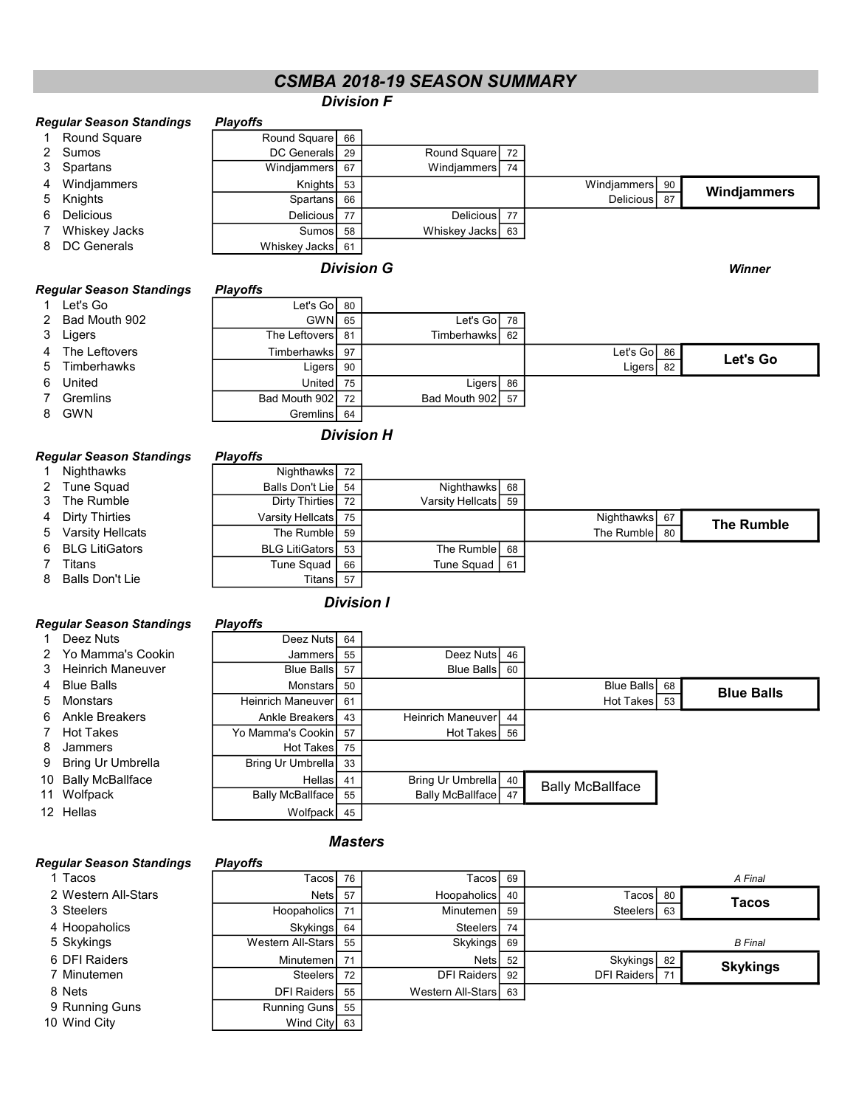# CSMBA 2018-19 SEASON SUMMARY

### Division F

|                   | Regular Season Standings                    | <b>Playoffs</b>    |    |                  |    |             |    |             |
|-------------------|---------------------------------------------|--------------------|----|------------------|----|-------------|----|-------------|
|                   | <b>Round Square</b>                         | Round Square 66    |    |                  |    |             |    |             |
|                   | 2 Sumos                                     | <b>DC</b> Generals | 29 | Round Square     | 72 |             |    |             |
|                   | 3 Spartans                                  | Windjammers        | 67 | Windjammers      | 74 |             |    |             |
| 4                 | Windjammers                                 | Knights            | 53 |                  |    | Windjammers | 90 |             |
|                   | 5 Knights                                   | Spartans           | 66 |                  |    | Delicious   | 87 | Windjammers |
| 6.                | <b>Delicious</b>                            | <b>Delicious</b>   | 77 | Delicious        | 77 |             |    |             |
|                   | Whiskey Jacks                               | Sumosl             | 58 | Whiskey Jacks 63 |    |             |    |             |
| 8.                | DC Generals                                 | Whiskey Jacks 61   |    |                  |    |             |    |             |
| <b>Division G</b> |                                             |                    |    |                  |    |             |    | Winner      |
|                   | Regular Season Standings<br><b>Playoffs</b> |                    |    |                  |    |             |    |             |
|                   | Let's Go                                    | Let's Go  80       |    |                  |    |             |    |             |

| 1 Let's Go      | Let's Go $80$    |     |                         |    |               |          |
|-----------------|------------------|-----|-------------------------|----|---------------|----------|
| 2 Bad Mouth 902 | $GWN$ 65         |     | Let's Gol 78            |    |               |          |
| 3 Ligers        | The Leftovers 81 |     | Timberhawks <b>I</b> 62 |    |               |          |
| 4 The Leftovers | Timberhawks      | 97  |                         |    | Let's Go $86$ | Let's Go |
| 5 Timberhawks   | Ligers           | -90 |                         |    | Ligers $82$   |          |
| 6 United        | United           | 75  | Ligers                  | 86 |               |          |
| 7 Gremlins      | Bad Mouth 902    | 72  | Bad Mouth 902 57        |    |               |          |
| 8 GWN           | Gremlins 64      |     |                         |    |               |          |

## Division H

### Regular Season Standings Playoffs

|                    | .                        |    |                     |               |                   |  |
|--------------------|--------------------------|----|---------------------|---------------|-------------------|--|
| 1 Nighthawks       | Nighthawks 72            |    |                     |               |                   |  |
| 2 Tune Squad       | Balls Don't Lie 54       |    | Nighthawks 68       |               |                   |  |
| 3 The Rumble       | Dirty Thirties 72        |    | Varsity Hellcats 59 |               |                   |  |
| 4 Dirty Thirties   | Varsity Hellcats 75      |    |                     | Nighthawks 67 | <b>The Rumble</b> |  |
| 5 Varsity Hellcats | The Rumble 59            |    |                     | The Rumble 30 |                   |  |
| 6 BLG LitiGators   | <b>BLG LitiGators</b> 53 |    | The Rumble 68       |               |                   |  |
| 7 Titans           | Tune Squad               | 66 | Tune Squad   61     |               |                   |  |
| 8 Balls Don't Lie  | Titans 57                |    |                     |               |                   |  |
|                    |                          |    |                     |               |                   |  |

### Division I

| <b>Regular Season Standings</b> |  |  |  | <b>Playoffs</b> |
|---------------------------------|--|--|--|-----------------|
|---------------------------------|--|--|--|-----------------|

## 1 Deez Nuts Deez Nuts Deez Nuts 64

- 2 Yo Mamma's Cookin
- 3 Heinrich Maneuver
- 4 Blue Balls
- 5 Monstars
- 6 Ankle Breakers
- 7 Hot Takes
- 8 Jammers
- 9 Bring Ur Umbrella
- 10 Bally McBallface 11 Wolfpack
- 12 Hellas
- 

### **Masters**

### Regular Season Standings Playoffs

| 15 |
|----|
|    |

- 2 Western All-Star<br>3 Steelers
- 
- 4 Hoopaholics
- 
- 6 DFI Raiders
- 7 Minutemen
- 
- 9 Running Guns
- 10 Wind City

| Deez Nutsi               | b4 |                          |    |                         |    |                   |
|--------------------------|----|--------------------------|----|-------------------------|----|-------------------|
| Jammers                  | 55 | Deez Nuts                | 46 |                         |    |                   |
| <b>Blue Balls</b>        | 57 | <b>Blue Balls</b>        | 60 |                         |    |                   |
| Monstars                 | 50 |                          |    | Blue Balls              | 68 | <b>Blue Balls</b> |
| <b>Heinrich Maneuver</b> | 61 |                          |    | Hot Takes               | 53 |                   |
| Ankle Breakers           | 43 | <b>Heinrich Maneuver</b> | 44 |                         |    |                   |
| Yo Mamma's Cookin        | 57 | Hot Takes                | 56 |                         |    |                   |
| Hot Takes                | 75 |                          |    |                         |    |                   |
| Bring Ur Umbrella        | 33 |                          |    |                         |    |                   |
| Hellas                   | 41 | Bring Ur Umbrella 40     |    |                         |    |                   |
| Bally McBallface         | 55 | Bally McBallface         | 47 | <b>Bally McBallface</b> |    |                   |
| Wolfpack                 | 45 |                          |    |                         |    |                   |
|                          |    |                          |    |                         |    |                   |

| yulal J <del>c</del> asuli Jiahuhiys | riavviis             |    |                      |    |                |    |                 |
|--------------------------------------|----------------------|----|----------------------|----|----------------|----|-----------------|
| 1 Tacos                              | TacosI 76            |    | TacosI 69            |    |                |    | A Final         |
| 2 Western All-Stars                  | Nets                 | 57 | Hoopaholics          | 40 | Tacos 80       |    | Tacos           |
| 3 Steelers                           | Hoopaholics 71       |    | Minutemen            | 59 | Steelers       | 63 |                 |
| 4 Hoopaholics                        | Skykings 64          |    | Steelers 74          |    |                |    |                 |
| 5 Skykings                           | Western All-Stars 55 |    | <b>Skykings</b>      | 69 |                |    | <b>B</b> Final  |
| 6 DFI Raiders                        | Minutemen   71       |    | <b>Nets</b>          | 52 | Skykings 82    |    | <b>Skykings</b> |
| 7 Minutemen                          | Steelers 72          |    | <b>DFI Raiders</b>   | 92 | DFI Raiders 71 |    |                 |
| 8 Nets                               | DFI Raiders 55       |    | Western All-Stars 63 |    |                |    |                 |
| 9 Running Guns                       | Running Guns 55      |    |                      |    |                |    |                 |
| 0 Wind City                          | Wind City 63         |    |                      |    |                |    |                 |
|                                      |                      |    |                      |    |                |    |                 |